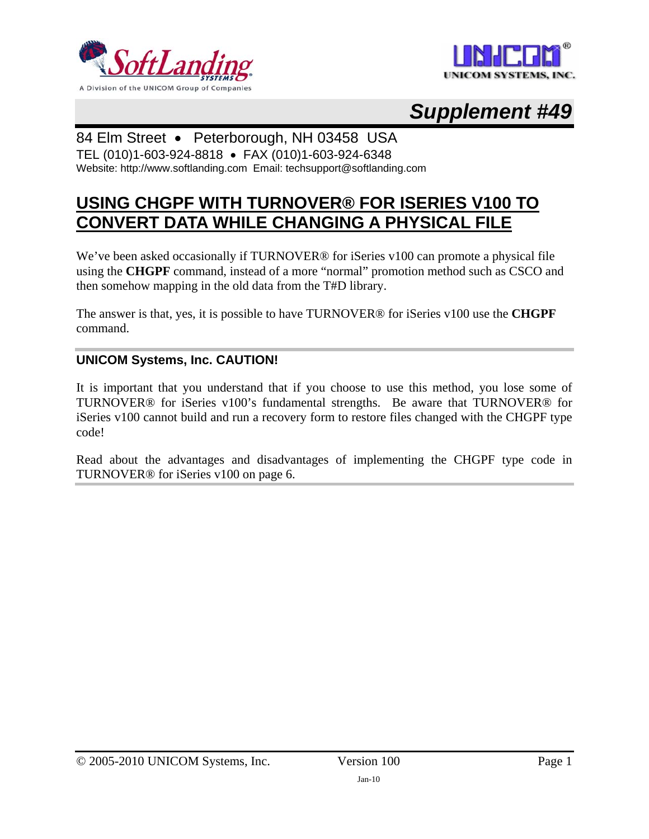



# *Supplement #49*

#### 84 Elm Street • Peterborough, NH 03458 USA

TEL (010)1-603-924-8818 • FAX (010)1-603-924-6348 Website: http://www.softlanding.com Email: techsupport@softlanding.com

### **USING CHGPF WITH TURNOVER® FOR ISERIES V100 TO CONVERT DATA WHILE CHANGING A PHYSICAL FILE**

We've been asked occasionally if TURNOVER<sup>®</sup> for iSeries v100 can promote a physical file using the **CHGPF** command, instead of a more "normal" promotion method such as CSCO and then somehow mapping in the old data from the T#D library.

The answer is that, yes, it is possible to have TURNOVER® for iSeries v100 use the **CHGPF** command.

#### **UNICOM Systems, Inc. CAUTION!**

It is important that you understand that if you choose to use this method, you lose some of TURNOVER® for iSeries v100's fundamental strengths. Be aware that TURNOVER® for iSeries v100 cannot build and run a recovery form to restore files changed with the CHGPF type code!

Read about the advantages and disadvantages of implementing the CHGPF type code in TURNOVER® for iSeries v100 on page [6.](#page-5-0)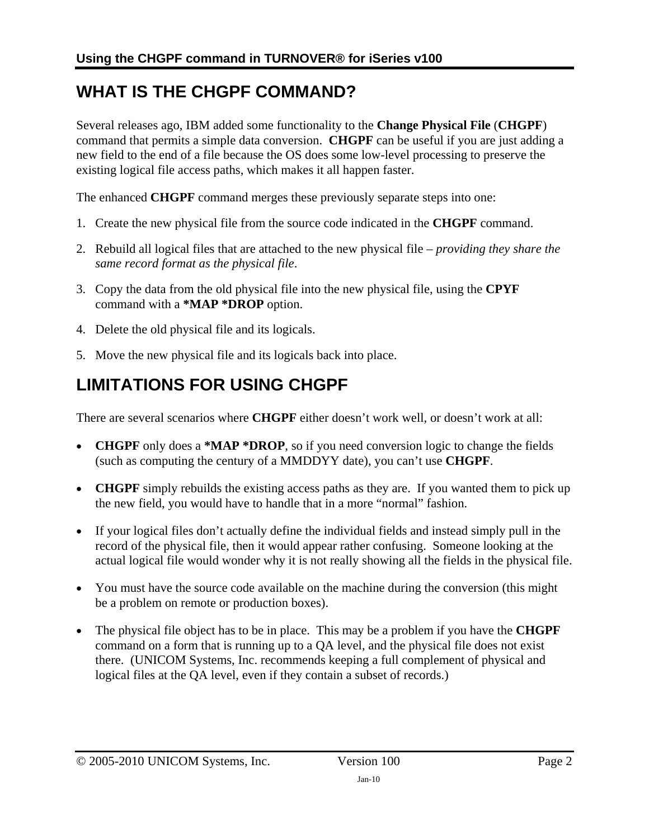### **WHAT IS THE CHGPF COMMAND?**

Several releases ago, IBM added some functionality to the **Change Physical File** (**CHGPF**) command that permits a simple data conversion. **CHGPF** can be useful if you are just adding a new field to the end of a file because the OS does some low-level processing to preserve the existing logical file access paths, which makes it all happen faster.

The enhanced **CHGPF** command merges these previously separate steps into one:

- 1. Create the new physical file from the source code indicated in the **CHGPF** command.
- 2. Rebuild all logical files that are attached to the new physical file *providing they share the same record format as the physical file*.
- 3. Copy the data from the old physical file into the new physical file, using the **CPYF** command with a **\*MAP \*DROP** option.
- 4. Delete the old physical file and its logicals.
- 5. Move the new physical file and its logicals back into place.

## **LIMITATIONS FOR USING CHGPF**

There are several scenarios where **CHGPF** either doesn't work well, or doesn't work at all:

- **CHGPF** only does a **\*MAP \*DROP**, so if you need conversion logic to change the fields (such as computing the century of a MMDDYY date), you can't use **CHGPF**.
- **CHGPF** simply rebuilds the existing access paths as they are. If you wanted them to pick up the new field, you would have to handle that in a more "normal" fashion.
- If your logical files don't actually define the individual fields and instead simply pull in the record of the physical file, then it would appear rather confusing. Someone looking at the actual logical file would wonder why it is not really showing all the fields in the physical file.
- You must have the source code available on the machine during the conversion (this might be a problem on remote or production boxes).
- The physical file object has to be in place. This may be a problem if you have the **CHGPF** command on a form that is running up to a QA level, and the physical file does not exist there. (UNICOM Systems, Inc. recommends keeping a full complement of physical and logical files at the QA level, even if they contain a subset of records.)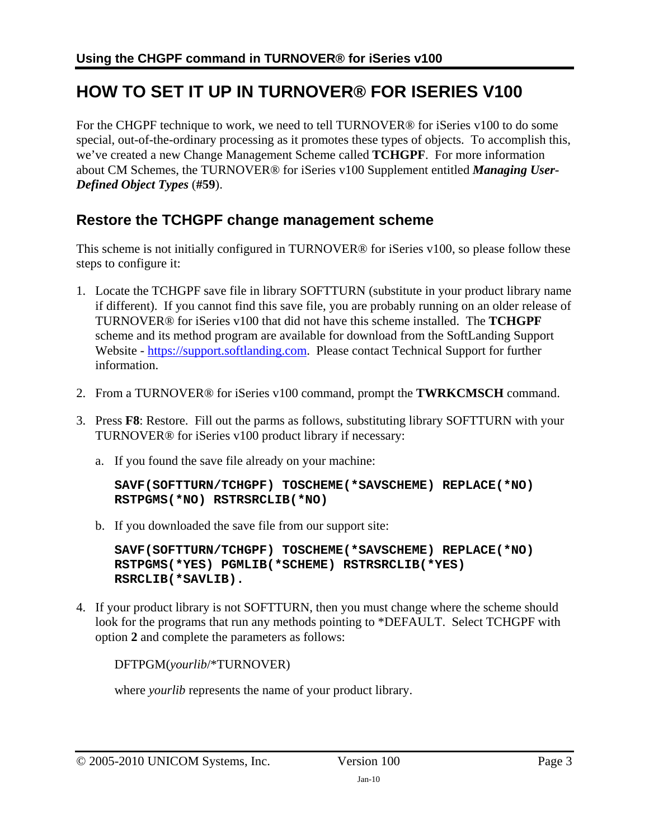### **HOW TO SET IT UP IN TURNOVER® FOR ISERIES V100**

For the CHGPF technique to work, we need to tell TURNOVER® for iSeries v100 to do some special, out-of-the-ordinary processing as it promotes these types of objects. To accomplish this, we've created a new Change Management Scheme called **TCHGPF**. For more information about CM Schemes, the TURNOVER® for iSeries v100 Supplement entitled *Managing User-Defined Object Types* (**#59**).

### **Restore the TCHGPF change management scheme**

This scheme is not initially configured in TURNOVER® for iSeries v100, so please follow these steps to configure it:

- 1. Locate the TCHGPF save file in library SOFTTURN (substitute in your product library name if different). If you cannot find this save file, you are probably running on an older release of TURNOVER® for iSeries v100 that did not have this scheme installed. The **TCHGPF** scheme and its method program are available for download from the SoftLanding Support Website - [https://support.softlanding.com.](https://support.softlanding.com/) Please contact Technical Support for further information.
- 2. From a TURNOVER® for iSeries v100 command, prompt the **TWRKCMSCH** command.
- 3. Press **F8**: Restore. Fill out the parms as follows, substituting library SOFTTURN with your TURNOVER® for iSeries v100 product library if necessary:
	- a. If you found the save file already on your machine:

```
SAVF(SOFTTURN/TCHGPF) TOSCHEME(*SAVSCHEME) REPLACE(*NO) 
RSTPGMS(*NO) RSTRSRCLIB(*NO)
```
b. If you downloaded the save file from our support site:

**SAVF(SOFTTURN/TCHGPF) TOSCHEME(\*SAVSCHEME) REPLACE(\*NO) RSTPGMS(\*YES) PGMLIB(\*SCHEME) RSTRSRCLIB(\*YES) RSRCLIB(\*SAVLIB).**

4. If your product library is not SOFTTURN, then you must change where the scheme should look for the programs that run any methods pointing to \*DEFAULT. Select TCHGPF with option **2** and complete the parameters as follows:

DFTPGM(*yourlib*/\*TURNOVER)

where *yourlib* represents the name of your product library.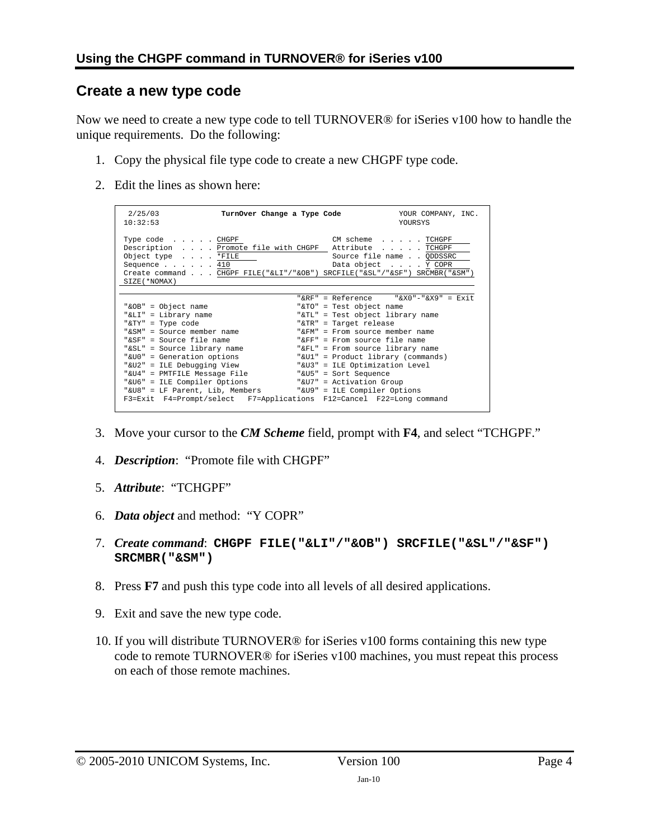#### **Create a new type code**

Now we need to create a new type code to tell TURNOVER® for iSeries v100 how to handle the unique requirements. Do the following:

- 1. Copy the physical file type code to create a new CHGPF type code.
- 2. Edit the lines as shown here:

| 2/25/03<br>10:32:53                                                                                                                                                                                                                                                                                                                                                                              | TurnOver Change a Type Code                                                                                                                                                                                                                                                                                                    | YOUR COMPANY, INC.<br><b>YOURSYS</b>                                           |
|--------------------------------------------------------------------------------------------------------------------------------------------------------------------------------------------------------------------------------------------------------------------------------------------------------------------------------------------------------------------------------------------------|--------------------------------------------------------------------------------------------------------------------------------------------------------------------------------------------------------------------------------------------------------------------------------------------------------------------------------|--------------------------------------------------------------------------------|
| Type $code$ CHGPF<br>Description Promote file with CHGPF Attribute TCHGPF<br>Object type *FILE<br>Sequence $\ldots$ $\ldots$ 410<br>Create command CHGPF FILE("&LI"/"&OB") SRCFILE("&SL"/"&SF") SRCMBR("&SM")<br>SIZE ( *NOMAX )                                                                                                                                                                 | CM scheme                                                                                                                                                                                                                                                                                                                      | $\ldots$ . TCHGPF<br>Source file name QDDSSRC<br>Data object Y COPR            |
| "&OB" = Object name<br>"&LI" = Library name<br>"&TY" = Type code<br>"&SM" = Source member name<br>"&SF" = Source file name<br>"&SL" = Source library name<br>"&U0" = Generation options<br>"&U2" = ILE Debugging View<br>"&U4" = PMTFILE Message File<br>"&U6" = ILE Compiler Options<br>"&U8" = LF Parent, Lib, Members<br>F3=Exit F4=Prompt/select F7=Applications F12=Cancel F22=Long command | "&TO" = Test object name<br>"&TL" = Test object library name<br>"&TR" = Target release<br>" $\&$ FM" = From source member name<br>" $F_F$ " = From source file name<br>"&FL" = From source library name<br>"&U3" = ILE Optimization Level<br>"&U5" = Sort Sequence<br>"&U7" = Activation Group<br>"&U9" = ILE Compiler Options | "&RF" = Reference $%$ "&X0"-"&X9" = Exit<br>"&Ul" = Product library (commands) |

- 3. Move your cursor to the *CM Scheme* field, prompt with **F4**, and select "TCHGPF."
- 4. *Description*: "Promote file with CHGPF"
- 5. *Attribute*: "TCHGPF"
- 6. *Data object* and method: "Y COPR"
- 7. *Create command*: **CHGPF FILE("&LI"/"&OB") SRCFILE("&SL"/"&SF") SRCMBR("&SM")**
- 8. Press **F7** and push this type code into all levels of all desired applications.
- 9. Exit and save the new type code.
- 10. If you will distribute TURNOVER® for iSeries v100 forms containing this new type code to remote TURNOVER® for iSeries v100 machines, you must repeat this process on each of those remote machines.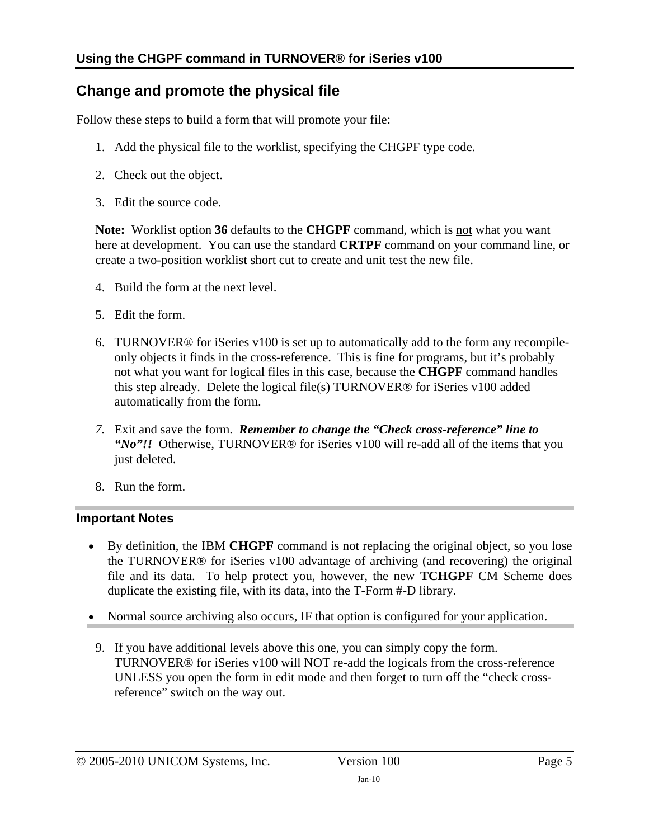### **Change and promote the physical file**

Follow these steps to build a form that will promote your file:

- 1. Add the physical file to the worklist, specifying the CHGPF type code.
- 2. Check out the object.
- 3. Edit the source code.

Note: Worklist option 36 defaults to the CHGPF command, which is not what you want here at development. You can use the standard **CRTPF** command on your command line, or create a two-position worklist short cut to create and unit test the new file.

- 4. Build the form at the next level.
- 5. Edit the form.
- 6. TURNOVER® for iSeries v100 is set up to automatically add to the form any recompileonly objects it finds in the cross-reference. This is fine for programs, but it's probably not what you want for logical files in this case, because the **CHGPF** command handles this step already. Delete the logical file(s) TURNOVER® for iSeries v100 added automatically from the form.
- *7.* Exit and save the form. *Remember to change the "Check cross-reference" line to "No"!!* Otherwise, TURNOVER® for iSeries v100 will re-add all of the items that you just deleted.
- 8. Run the form.

#### **Important Notes**

- By definition, the IBM **CHGPF** command is not replacing the original object, so you lose the TURNOVER® for iSeries v100 advantage of archiving (and recovering) the original file and its data. To help protect you, however, the new **TCHGPF** CM Scheme does duplicate the existing file, with its data, into the T-Form #-D library.
- Normal source archiving also occurs, IF that option is configured for your application.
- 9. If you have additional levels above this one, you can simply copy the form. TURNOVER® for iSeries v100 will NOT re-add the logicals from the cross-reference UNLESS you open the form in edit mode and then forget to turn off the "check crossreference" switch on the way out.